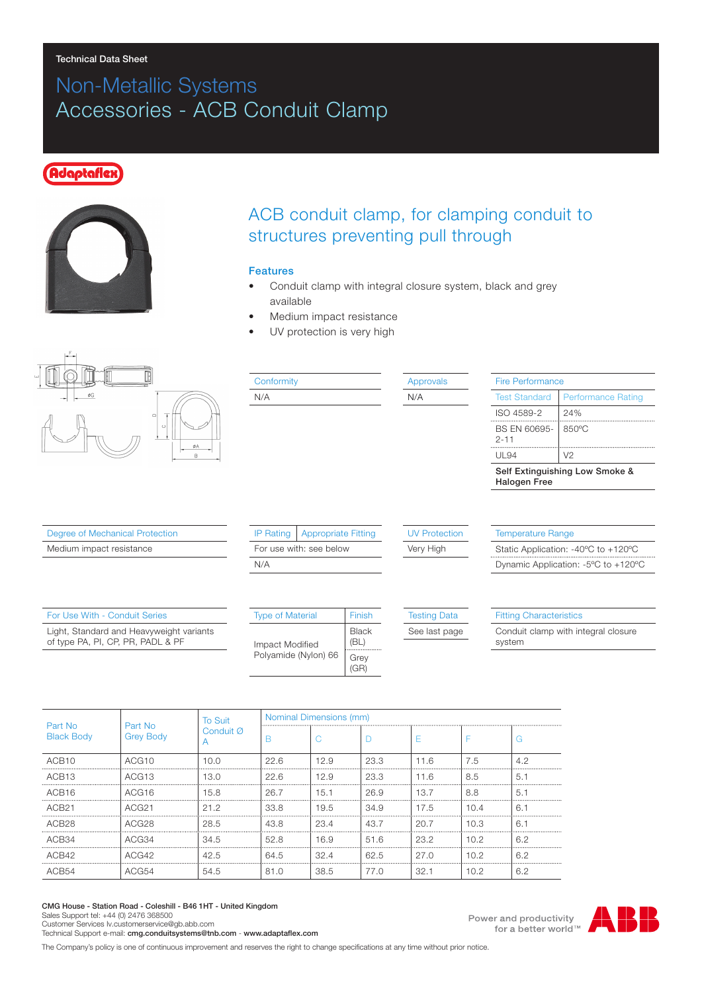#### Technical Data Sheet

# Non-Metallic Systems Accessories - ACB Conduit Clamp

### **Idaptafle**z



## ACB conduit clamp, for clamping conduit to structures preventing pull through

#### Features

- Conduit clamp with integral closure system, black and grey available
- Medium impact resistance
- UV protection is very high



| Conformity | <b>Approvals</b> | <b>Fire Performance</b>                               |                           |  |
|------------|------------------|-------------------------------------------------------|---------------------------|--|
| N/A        | N/A              | <b>Test Standard</b>                                  | <b>Performance Ration</b> |  |
|            |                  | ISO 4589-2                                            | 24%                       |  |
|            |                  | BS EN 60695-<br>$2 - 11$                              | 850°C                     |  |
|            |                  | UL 94                                                 | V <sub>2</sub>            |  |
|            |                  | Self Extinguishing Low Smoke &<br><b>Halogen Free</b> |                           |  |

Degree of Mechanical Protection

Medium impact resistance

|                         | IP Rating   Appropriate Fitting |  |  |  |  |
|-------------------------|---------------------------------|--|--|--|--|
| For use with: see below |                                 |  |  |  |  |
| N/A                     |                                 |  |  |  |  |
|                         |                                 |  |  |  |  |

#### UV Protection

Very High

Temperature Range Static Application: -40ºC to +120ºC Dynamic Application: -5ºC to +120ºC

rmance Rating

| For Use With - Conduit Series                                                 | <b>Type of Material</b> | Finish                   | <b>Testing Data</b> | <b>Fitting Characteristics</b>                |  |
|-------------------------------------------------------------------------------|-------------------------|--------------------------|---------------------|-----------------------------------------------|--|
| Light, Standard and Heavyweight variants<br>of type PA, PI, CP, PR, PADL & PF | Impact Modified         | <b>Black</b><br>(BL)<br> | See last page       | Conduit clamp with integral closure<br>svstem |  |
|                                                                               | Polyamide (Nylon) 66    | Grev<br>(GR)             |                     |                                               |  |

| Part No<br><b>Black Body</b> | Part No<br><b>Grey Body</b> | To Suit<br>Conduit Ø | Nominal Dimensions (mm) |           |      |      |      |     |
|------------------------------|-----------------------------|----------------------|-------------------------|-----------|------|------|------|-----|
|                              |                             |                      |                         |           |      |      |      | ۰.  |
| ACB <sub>10</sub>            | ACG <sub>10</sub>           | 10.0                 | 22.6                    | 12.9      | 23.3 | 11.6 | 7.5  | 4.2 |
| ACB <sub>13</sub>            | ACG13                       | 13.0                 | 22.6                    | 12.9      | 23.3 | 11.6 | 8.5  | 5.7 |
| ACB <sub>16</sub>            | ACG16                       | 15.8                 | 26.7                    | 15.1      | 26.9 | 13.7 | 8.8  | 5.1 |
| ACB <sub>21</sub>            | ACG <sub>21</sub>           | 21.2                 | 33.8                    | 19.5      | 34.9 | 17.5 | 10.4 | ჩ.  |
| ACR <sub>28</sub>            | ACG28                       | 28.5                 | 43.8                    | 23.4      | 43.7 | 20.7 | 10.3 | 6.  |
| ACB34                        | ACG34                       | 34.5                 | 52.8                    | 16.9<br>. | 51.6 | 23.2 | 10.2 | 6.2 |
| ACB42                        | ACG42                       | 42.5                 | 64.5                    | 32.4      | 62.5 | 27.0 | 10.2 | 6.2 |
| ACB54                        | ACG54                       | 54.5                 | 81.0                    | 38.5      | 77.0 | 32.1 | 10.2 | 6.2 |

CMG House - Station Road - Coleshill - B46 1HT - United Kingdom Sales Support tel: +44 (0) 2476 368500 Customer Services Iv.customerservice@gb.abb.com

Technical Support e-mail: cmg.conduitsystems@tnb.com - www.adaptaflex.com

The Company's policy is one of continuous improvement and reserves the right to change specifications at any time without prior notice.



Power and productivity